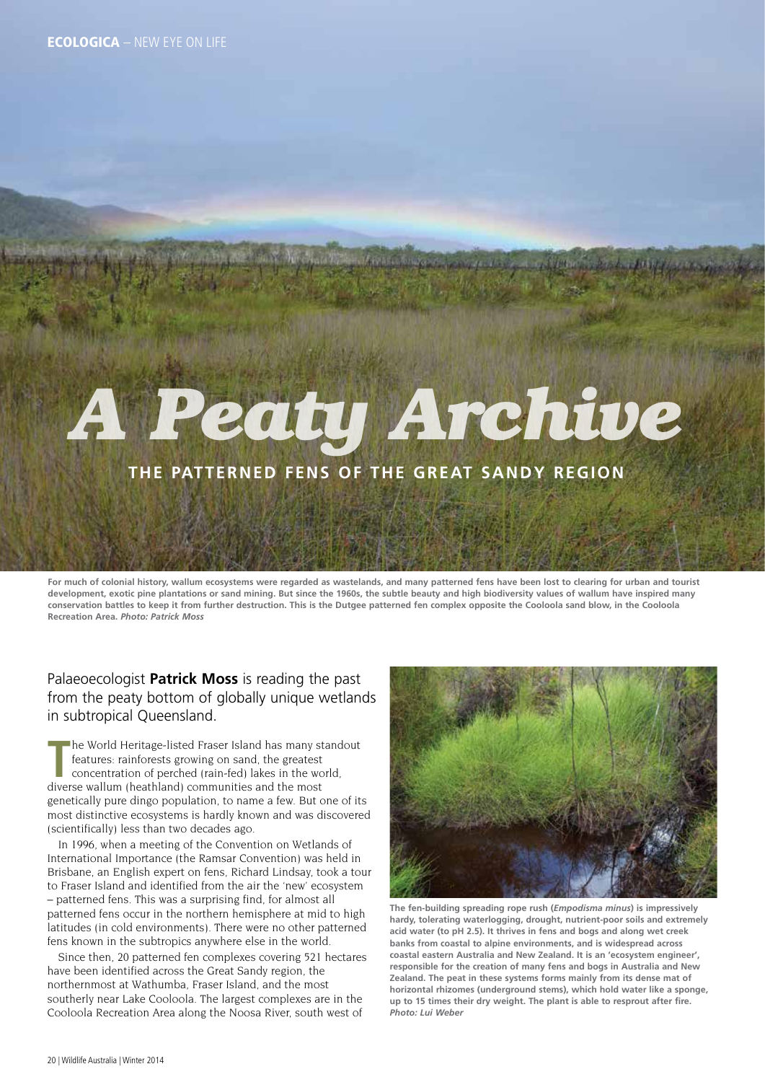# *A Peaty Archive*

### **the patterned fens of the Great Sandy region**

**For much of colonial history, wallum ecosystems were regarded as wastelands, and many patterned fens have been lost to clearing for urban and tourist development, exotic pine plantations or sand mining. But since the 1960s, the subtle beauty and high biodiversity values of wallum have inspired many conservation battles to keep it from further destruction. This is the Dutgee patterned fen complex opposite the Cooloola sand blow, in the Cooloola Recreation Area.** *Photo: Patrick Moss*

Palaeoecologist **Patrick Moss** is reading the past from the peaty bottom of globally unique wetlands in subtropical Queensland.

The World Heritage-listed Fraser Island has many st<br>
features: rainforests growing on sand, the greatest<br>
concentration of perched (rain-fed) lakes in the wo<br>
diverse wallum (heathland) communities and the most he World Heritage-listed Fraser Island has many standout features: rainforests growing on sand, the greatest concentration of perched (rain-fed) lakes in the world, genetically pure dingo population, to name a few. But one of its most distinctive ecosystems is hardly known and was discovered (scientifically) less than two decades ago.

In 1996, when a meeting of the Convention on Wetlands of International Importance (the Ramsar Convention) was held in Brisbane, an English expert on fens, Richard Lindsay, took a tour to Fraser Island and identified from the air the 'new' ecosystem – patterned fens. This was a surprising find, for almost all patterned fens occur in the northern hemisphere at mid to high latitudes (in cold environments). There were no other patterned fens known in the subtropics anywhere else in the world.

Since then, 20 patterned fen complexes covering 521 hectares have been identified across the Great Sandy region, the northernmost at Wathumba, Fraser Island, and the most southerly near Lake Cooloola. The largest complexes are in the Cooloola Recreation Area along the Noosa River, south west of



**The fen-building spreading rope rush (***Empodisma minus***) is impressively hardy, tolerating waterlogging, drought, nutrient-poor soils and extremely acid water (to pH 2.5). It thrives in fens and bogs and along wet creek banks from coastal to alpine environments, and is widespread across coastal eastern Australia and New Zealand. It is an 'ecosystem engineer', responsible for the creation of many fens and bogs in Australia and New Zealand. The peat in these systems forms mainly from its dense mat of horizontal rhizomes (underground stems), which hold water like a sponge, up to 15 times their dry weight. The plant is able to resprout after fire.**  *Photo: Lui Weber*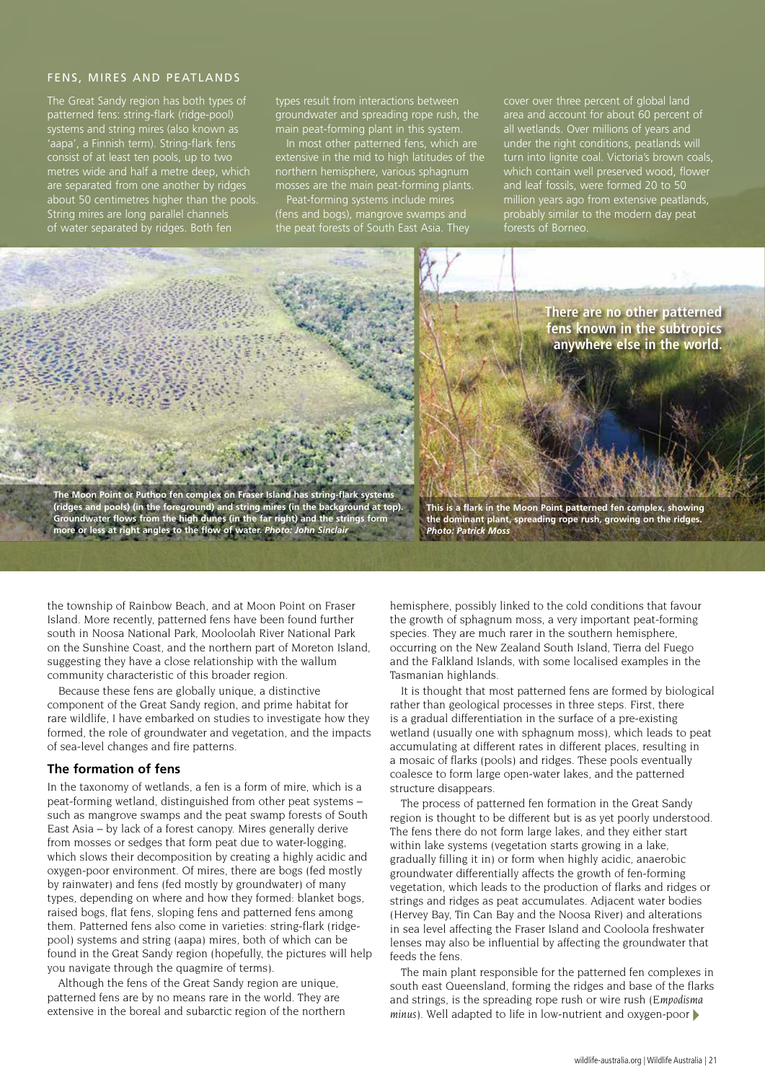#### Fens, mires and peatlands

The Great Sandy region has both types of patterned fens: string-flark (ridge-pool) systems and string mires (also known as 'aapa', a Finnish term). String-flark fens consist of at least ten pools, up to two metres wide and half a metre deep, which are separated from one another by ridge about 50 centimetres higher than the pools. String mires are long parallel channels of water separated by ridges. Both fen

types result from interactions between groundwater and spreading rope rush, the main peat-forming plant in this system.

In most other patterned fens, which are extensive in the mid to high latitudes of the externive in the mid to ingerfatitudes of ses are the main peat-forming plants.

Peat-forming systems include mires (fens and bogs), mangrove swamps and the peat forests of South East Asia. They

cover over three percent of global land area and account for about 60 percent of all wetlands. Over millions of years and under the right conditions, peatlands will turn into lignite coal. Victoria's brown coals, which contain well preserved wood, flower and leaf fossils, were formed 20 to 50 million years ago from extensive peatlands, probably similar to the modern day peat forests of Borneo.



**There are no other patterned fens known in the subtropics anywhere else in the world.**

**The Moon Point or Puthoo fen complex on Fraser Island has string-flark systems (ridges and pools) (in the foreground) and string mires (in the background at top). Groundwater flows from the high dunes (in the far right) and the strings form more or less at right angles to the flow of water.** *Photo: John Sinclair*

**This is a flark in the Moon Point patterned fen complex, showing the dominant plant, spreading rope rush, growing on the ridges.**  *Photo: Patrick Moss*

the township of Rainbow Beach, and at Moon Point on Fraser Island. More recently, patterned fens have been found further south in Noosa National Park, Mooloolah River National Park on the Sunshine Coast, and the northern part of Moreton Island, suggesting they have a close relationship with the wallum community characteristic of this broader region.

Because these fens are globally unique, a distinctive component of the Great Sandy region, and prime habitat for rare wildlife, I have embarked on studies to investigate how they formed, the role of groundwater and vegetation, and the impacts of sea-level changes and fire patterns.

#### **The formation of fens**

In the taxonomy of wetlands, a fen is a form of mire, which is a peat-forming wetland, distinguished from other peat systems – such as mangrove swamps and the peat swamp forests of South East Asia – by lack of a forest canopy. Mires generally derive from mosses or sedges that form peat due to water-logging, which slows their decomposition by creating a highly acidic and oxygen-poor environment. Of mires, there are bogs (fed mostly by rainwater) and fens (fed mostly by groundwater) of many types, depending on where and how they formed: blanket bogs, raised bogs, flat fens, sloping fens and patterned fens among them. Patterned fens also come in varieties: string-flark (ridgepool) systems and string (aapa) mires, both of which can be found in the Great Sandy region (hopefully, the pictures will help you navigate through the quagmire of terms).

Although the fens of the Great Sandy region are unique, patterned fens are by no means rare in the world. They are extensive in the boreal and subarctic region of the northern

hemisphere, possibly linked to the cold conditions that favour the growth of sphagnum moss, a very important peat-forming species. They are much rarer in the southern hemisphere, occurring on the New Zealand South Island, Tierra del Fuego and the Falkland Islands, with some localised examples in the Tasmanian highlands.

It is thought that most patterned fens are formed by biological rather than geological processes in three steps. First, there is a gradual differentiation in the surface of a pre-existing wetland (usually one with sphagnum moss), which leads to peat accumulating at different rates in different places, resulting in a mosaic of flarks (pools) and ridges. These pools eventually coalesce to form large open-water lakes, and the patterned structure disappears.

The process of patterned fen formation in the Great Sandy region is thought to be different but is as yet poorly understood. The fens there do not form large lakes, and they either start within lake systems (vegetation starts growing in a lake, gradually filling it in) or form when highly acidic, anaerobic groundwater differentially affects the growth of fen-forming vegetation, which leads to the production of flarks and ridges or strings and ridges as peat accumulates. Adjacent water bodies (Hervey Bay, Tin Can Bay and the Noosa River) and alterations in sea level affecting the Fraser Island and Cooloola freshwater lenses may also be influential by affecting the groundwater that feeds the fens.

The main plant responsible for the patterned fen complexes in south east Queensland, forming the ridges and base of the flarks and strings, is the spreading rope rush or wire rush (*Empodisma minus*). Well adapted to life in low-nutrient and oxygen-poor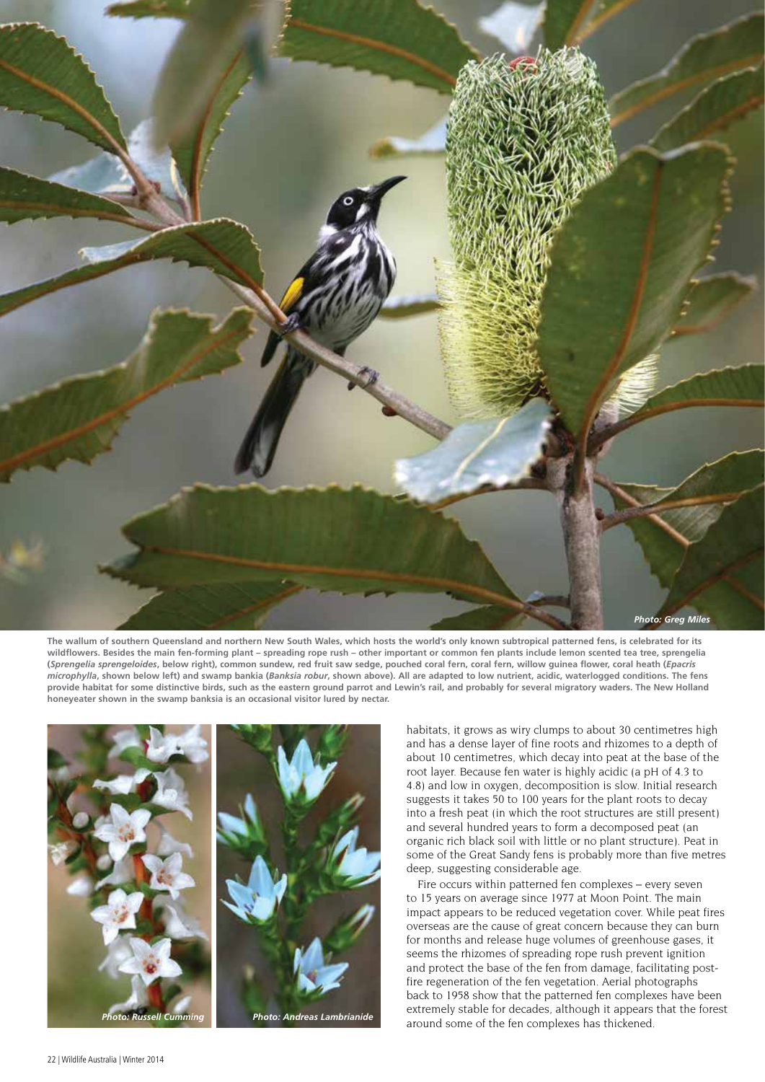

**The wallum of southern Queensland and northern New South Wales, which hosts the world's only known subtropical patterned fens, is celebrated for its wildflowers. Besides the main fen-forming plant – spreading rope rush – other important or common fen plants include lemon scented tea tree, sprengelia (***Sprengelia sprengeloides***, below right), common sundew, red fruit saw sedge, pouched coral fern, coral fern, willow guinea flower, coral heath (***Epacris microphylla***, shown below left) and swamp bankia (***Banksia robur***, shown above). All are adapted to low nutrient, acidic, waterlogged conditions. The fens provide habitat for some distinctive birds, such as the eastern ground parrot and Lewin's rail, and probably for several migratory waders. The New Holland honeyeater shown in the swamp banksia is an occasional visitor lured by nectar.** 



habitats, it grows as wiry clumps to about 30 centimetres high and has a dense layer of fine roots and rhizomes to a depth of about 10 centimetres, which decay into peat at the base of the root layer. Because fen water is highly acidic (a pH of 4.3 to 4.8) and low in oxygen, decomposition is slow. Initial research suggests it takes 50 to 100 years for the plant roots to decay into a fresh peat (in which the root structures are still present) and several hundred years to form a decomposed peat (an organic rich black soil with little or no plant structure). Peat in some of the Great Sandy fens is probably more than five metres deep, suggesting considerable age.

Fire occurs within patterned fen complexes – every seven to 15 years on average since 1977 at Moon Point. The main impact appears to be reduced vegetation cover. While peat fires overseas are the cause of great concern because they can burn for months and release huge volumes of greenhouse gases, it seems the rhizomes of spreading rope rush prevent ignition and protect the base of the fen from damage, facilitating postfire regeneration of the fen vegetation. Aerial photographs back to 1958 show that the patterned fen complexes have been extremely stable for decades, although it appears that the forest around some of the fen complexes has thickened.